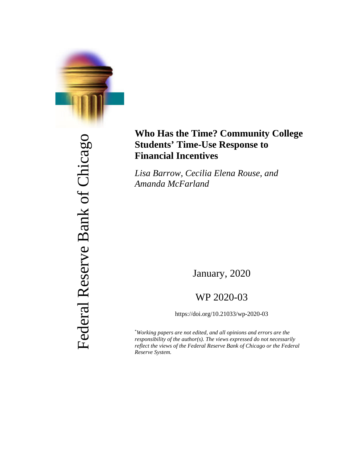

Federal Reserve Bank of Chicago Federal Reserve Bank of Chicago

# **Who Has the Time? Community College Students' Time-Use Response to Financial Incentives**

*Lisa Barrow, Cecilia Elena Rouse, and Amanda McFarland*

January, 2020

# WP 2020-03

https://doi.org/10.21033/wp-2020-03

\* *Working papers are not edited, and all opinions and errors are the responsibility of the author(s). The views expressed do not necessarily reflect the views of the Federal Reserve Bank of Chicago or the Federal Reserve System.*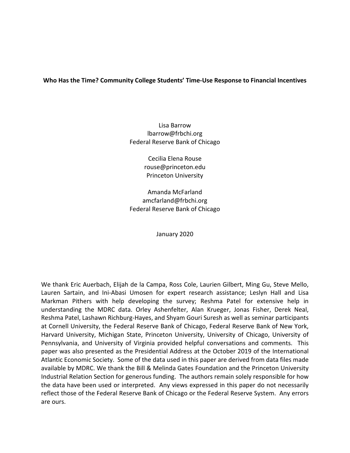# **Who Has the Time? Community College Students' Time-Use Response to Financial Incentives**

Lisa Barrow lbarrow@frbchi.org Federal Reserve Bank of Chicago

> Cecilia Elena Rouse rouse@princeton.edu Princeton University

Amanda McFarland amcfarland@frbchi.org Federal Reserve Bank of Chicago

January 2020

We thank Eric Auerbach, Elijah de la Campa, Ross Cole, Laurien Gilbert, Ming Gu, Steve Mello, Lauren Sartain, and Ini-Abasi Umosen for expert research assistance; Leslyn Hall and Lisa Markman Pithers with help developing the survey; Reshma Patel for extensive help in understanding the MDRC data. Orley Ashenfelter, Alan Krueger, Jonas Fisher, Derek Neal, Reshma Patel, Lashawn Richburg-Hayes, and Shyam Gouri Suresh as well as seminar participants at Cornell University, the Federal Reserve Bank of Chicago, Federal Reserve Bank of New York, Harvard University, Michigan State, Princeton University, University of Chicago, University of Pennsylvania, and University of Virginia provided helpful conversations and comments. This paper was also presented as the Presidential Address at the October 2019 of the International Atlantic Economic Society. Some of the data used in this paper are derived from data files made available by MDRC. We thank the Bill & Melinda Gates Foundation and the Princeton University Industrial Relation Section for generous funding. The authors remain solely responsible for how the data have been used or interpreted. Any views expressed in this paper do not necessarily reflect those of the Federal Reserve Bank of Chicago or the Federal Reserve System. Any errors are ours.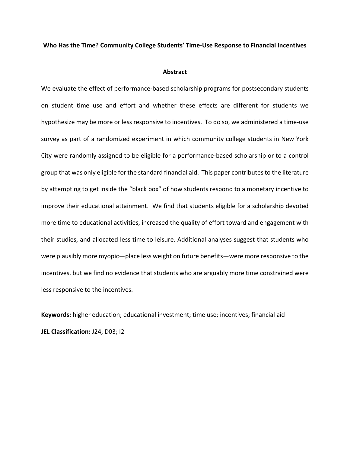#### **Who Has the Time? Community College Students' Time-Use Response to Financial Incentives**

#### **Abstract**

We evaluate the effect of performance-based scholarship programs for postsecondary students on student time use and effort and whether these effects are different for students we hypothesize may be more or less responsive to incentives. To do so, we administered a time-use survey as part of a randomized experiment in which community college students in New York City were randomly assigned to be eligible for a performance-based scholarship or to a control group that was only eligible for the standard financial aid. This paper contributes to the literature by attempting to get inside the "black box" of how students respond to a monetary incentive to improve their educational attainment. We find that students eligible for a scholarship devoted more time to educational activities, increased the quality of effort toward and engagement with their studies, and allocated less time to leisure. Additional analyses suggest that students who were plausibly more myopic—place less weight on future benefits—were more responsive to the incentives, but we find no evidence that students who are arguably more time constrained were less responsive to the incentives.

**Keywords:** higher education; educational investment; time use; incentives; financial aid **JEL Classification:** J24; D03; I2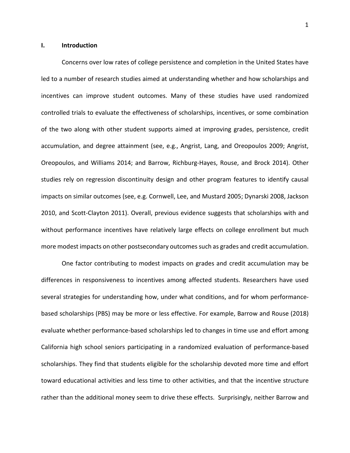#### **I. Introduction**

Concerns over low rates of college persistence and completion in the United States have led to a number of research studies aimed at understanding whether and how scholarships and incentives can improve student outcomes. Many of these studies have used randomized controlled trials to evaluate the effectiveness of scholarships, incentives, or some combination of the two along with other student supports aimed at improving grades, persistence, credit accumulation, and degree attainment (see, e.g., Angrist, Lang, and Oreopoulos 2009; Angrist, Oreopoulos, and Williams 2014; and Barrow, Richburg-Hayes, Rouse, and Brock 2014). Other studies rely on regression discontinuity design and other program features to identify causal impacts on similar outcomes (see, e.g. Cornwell, Lee, and Mustard 2005; Dynarski 2008, Jackson 2010, and Scott-Clayton 2011). Overall, previous evidence suggests that scholarships with and without performance incentives have relatively large effects on college enrollment but much more modest impacts on other postsecondary outcomes such as grades and credit accumulation.

One factor contributing to modest impacts on grades and credit accumulation may be differences in responsiveness to incentives among affected students. Researchers have used several strategies for understanding how, under what conditions, and for whom performancebased scholarships (PBS) may be more or less effective. For example, Barrow and Rouse (2018) evaluate whether performance-based scholarships led to changes in time use and effort among California high school seniors participating in a randomized evaluation of performance-based scholarships. They find that students eligible for the scholarship devoted more time and effort toward educational activities and less time to other activities, and that the incentive structure rather than the additional money seem to drive these effects. Surprisingly, neither Barrow and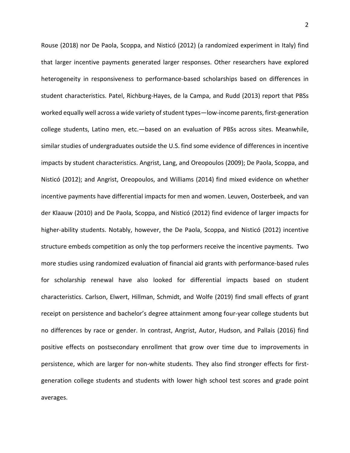Rouse (2018) nor De Paola, Scoppa, and Nisticó (2012) (a randomized experiment in Italy) find that larger incentive payments generated larger responses. Other researchers have explored heterogeneity in responsiveness to performance-based scholarships based on differences in student characteristics. Patel, Richburg-Hayes, de la Campa, and Rudd (2013) report that PBSs worked equally well across a wide variety of student types—low-income parents, first-generation college students, Latino men, etc.—based on an evaluation of PBSs across sites. Meanwhile, similar studies of undergraduates outside the U.S. find some evidence of differences in incentive impacts by student characteristics. Angrist, Lang, and Oreopoulos (2009); De Paola, Scoppa, and Nisticó (2012); and Angrist, Oreopoulos, and Williams (2014) find mixed evidence on whether incentive payments have differential impacts for men and women. Leuven, Oosterbeek, and van der Klaauw (2010) and De Paola, Scoppa, and Nisticó (2012) find evidence of larger impacts for higher-ability students. Notably, however, the De Paola, Scoppa, and Nisticó (2012) incentive structure embeds competition as only the top performers receive the incentive payments. Two more studies using randomized evaluation of financial aid grants with performance-based rules for scholarship renewal have also looked for differential impacts based on student characteristics. Carlson, Elwert, Hillman, Schmidt, and Wolfe (2019) find small effects of grant receipt on persistence and bachelor's degree attainment among four-year college students but no differences by race or gender. In contrast, Angrist, Autor, Hudson, and Pallais (2016) find positive effects on postsecondary enrollment that grow over time due to improvements in persistence, which are larger for non-white students. They also find stronger effects for firstgeneration college students and students with lower high school test scores and grade point averages.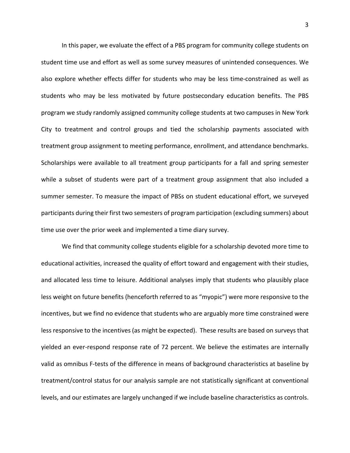In this paper, we evaluate the effect of a PBS program for community college students on student time use and effort as well as some survey measures of unintended consequences. We also explore whether effects differ for students who may be less time-constrained as well as students who may be less motivated by future postsecondary education benefits. The PBS program we study randomly assigned community college students at two campuses in New York City to treatment and control groups and tied the scholarship payments associated with treatment group assignment to meeting performance, enrollment, and attendance benchmarks. Scholarships were available to all treatment group participants for a fall and spring semester while a subset of students were part of a treatment group assignment that also included a summer semester. To measure the impact of PBSs on student educational effort, we surveyed participants during their first two semesters of program participation (excluding summers) about time use over the prior week and implemented a time diary survey.

We find that community college students eligible for a scholarship devoted more time to educational activities, increased the quality of effort toward and engagement with their studies, and allocated less time to leisure. Additional analyses imply that students who plausibly place less weight on future benefits (henceforth referred to as "myopic") were more responsive to the incentives, but we find no evidence that students who are arguably more time constrained were less responsive to the incentives (as might be expected). These results are based on surveys that yielded an ever-respond response rate of 72 percent. We believe the estimates are internally valid as omnibus F-tests of the difference in means of background characteristics at baseline by treatment/control status for our analysis sample are not statistically significant at conventional levels, and our estimates are largely unchanged if we include baseline characteristics as controls.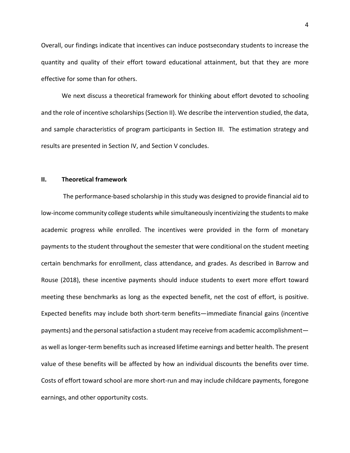Overall, our findings indicate that incentives can induce postsecondary students to increase the quantity and quality of their effort toward educational attainment, but that they are more effective for some than for others.

We next discuss a theoretical framework for thinking about effort devoted to schooling and the role of incentive scholarships(Section II). We describe the intervention studied, the data, and sample characteristics of program participants in Section III. The estimation strategy and results are presented in Section IV, and Section V concludes.

#### **II. Theoretical framework**

The performance-based scholarship in this study was designed to provide financial aid to low-income community college students while simultaneously incentivizing the students to make academic progress while enrolled. The incentives were provided in the form of monetary payments to the student throughout the semester that were conditional on the student meeting certain benchmarks for enrollment, class attendance, and grades. As described in Barrow and Rouse (2018), these incentive payments should induce students to exert more effort toward meeting these benchmarks as long as the expected benefit, net the cost of effort, is positive. Expected benefits may include both short-term benefits—immediate financial gains (incentive payments) and the personal satisfaction a student may receive from academic accomplishment as well as longer-term benefits such as increased lifetime earnings and better health. The present value of these benefits will be affected by how an individual discounts the benefits over time. Costs of effort toward school are more short-run and may include childcare payments, foregone earnings, and other opportunity costs.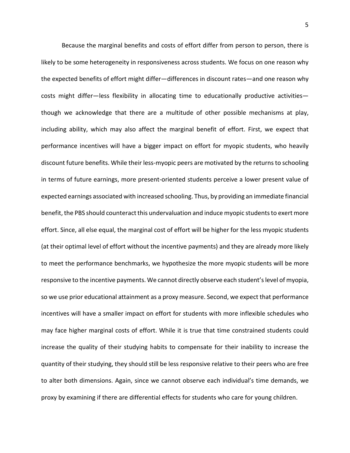Because the marginal benefits and costs of effort differ from person to person, there is likely to be some heterogeneity in responsiveness across students. We focus on one reason why the expected benefits of effort might differ—differences in discount rates—and one reason why costs might differ—less flexibility in allocating time to educationally productive activities though we acknowledge that there are a multitude of other possible mechanisms at play, including ability, which may also affect the marginal benefit of effort. First, we expect that performance incentives will have a bigger impact on effort for myopic students, who heavily discount future benefits. While their less-myopic peers are motivated by the returns to schooling in terms of future earnings, more present-oriented students perceive a lower present value of expected earnings associated with increased schooling. Thus, by providing an immediate financial benefit, the PBS should counteract this undervaluation and induce myopic students to exert more effort. Since, all else equal, the marginal cost of effort will be higher for the less myopic students (at their optimal level of effort without the incentive payments) and they are already more likely to meet the performance benchmarks, we hypothesize the more myopic students will be more responsive to the incentive payments. We cannot directly observe each student's level of myopia, so we use prior educational attainment as a proxy measure. Second, we expect that performance incentives will have a smaller impact on effort for students with more inflexible schedules who may face higher marginal costs of effort. While it is true that time constrained students could increase the quality of their studying habits to compensate for their inability to increase the quantity of their studying, they should still be less responsive relative to their peers who are free to alter both dimensions. Again, since we cannot observe each individual's time demands, we proxy by examining if there are differential effects for students who care for young children.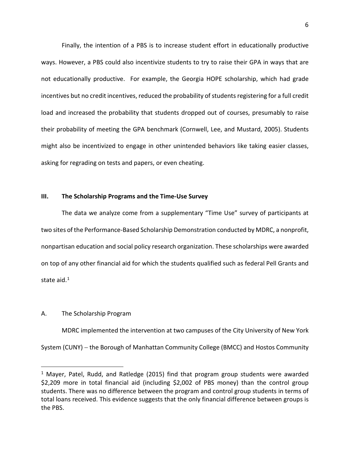Finally, the intention of a PBS is to increase student effort in educationally productive ways. However, a PBS could also incentivize students to try to raise their GPA in ways that are not educationally productive. For example, the Georgia HOPE scholarship, which had grade incentives but no credit incentives, reduced the probability of students registering for a full credit load and increased the probability that students dropped out of courses, presumably to raise their probability of meeting the GPA benchmark (Cornwell, Lee, and Mustard, 2005). Students might also be incentivized to engage in other unintended behaviors like taking easier classes, asking for regrading on tests and papers, or even cheating.

### **III. The Scholarship Programs and the Time-Use Survey**

The data we analyze come from a supplementary "Time Use" survey of participants at two sites of the Performance-Based Scholarship Demonstration conducted by MDRC, a nonprofit, nonpartisan education and social policy research organization. These scholarships were awarded on top of any other financial aid for which the students qualified such as federal Pell Grants and state aid. [1](#page-8-0)

#### A. The Scholarship Program

 $\overline{a}$ 

MDRC implemented the intervention at two campuses of the City University of New York System (CUNY) − the Borough of Manhattan Community College (BMCC) and Hostos Community

<span id="page-8-0"></span><sup>&</sup>lt;sup>1</sup> Mayer, Patel, Rudd, and Ratledge (2015) find that program group students were awarded \$2,209 more in total financial aid (including \$2,002 of PBS money) than the control group students. There was no difference between the program and control group students in terms of total loans received. This evidence suggests that the only financial difference between groups is the PBS.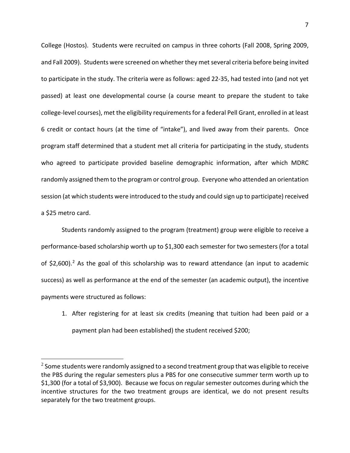College (Hostos). Students were recruited on campus in three cohorts (Fall 2008, Spring 2009, and Fall 2009). Students were screened on whether they met several criteria before being invited to participate in the study. The criteria were as follows: aged 22-35, had tested into (and not yet passed) at least one developmental course (a course meant to prepare the student to take college-level courses), met the eligibility requirementsfor a federal Pell Grant, enrolled in at least 6 credit or contact hours (at the time of "intake"), and lived away from their parents. Once program staff determined that a student met all criteria for participating in the study, students who agreed to participate provided baseline demographic information, after which MDRC randomly assigned them to the program or control group. Everyone who attended an orientation session (at which students were introduced to the study and could sign up to participate) received a \$25 metro card.

Students randomly assigned to the program (treatment) group were eligible to receive a performance-based scholarship worth up to \$1,300 each semester for two semesters (for a total of \$[2](#page-9-0),600).<sup>2</sup> As the goal of this scholarship was to reward attendance (an input to academic success) as well as performance at the end of the semester (an academic output), the incentive payments were structured as follows:

1. After registering for at least six credits (meaning that tuition had been paid or a payment plan had been established) the student received \$200;

<span id="page-9-0"></span> $<sup>2</sup>$  Some students were randomly assigned to a second treatment group that was eligible to receive</sup> the PBS during the regular semesters plus a PBS for one consecutive summer term worth up to \$1,300 (for a total of \$3,900). Because we focus on regular semester outcomes during which the incentive structures for the two treatment groups are identical, we do not present results separately for the two treatment groups.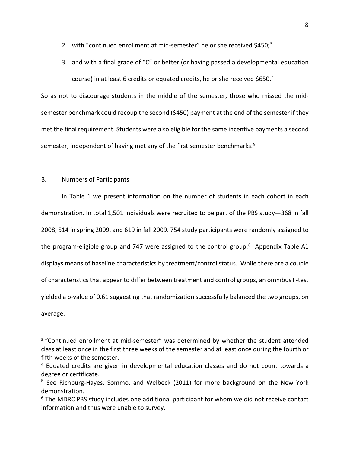- 2. with "continued enrollment at mid-semester" he or she received  $$450<sub>3</sub>$  $$450<sub>3</sub>$  $$450<sub>3</sub>$ <sup>3</sup>
- 3. and with a final grade of " $C$ " or better (or having passed a developmental education course) in at least 6 credits or equated credits, he or she received \$650.[4](#page-10-1)

So as not to discourage students in the middle of the semester, those who missed the midsemester benchmark could recoup the second (\$450) payment at the end of the semester if they met the final requirement. Students were also eligible for the same incentive payments a second semester, independent of having met any of the first semester benchmarks.<sup>[5](#page-10-2)</sup>

### B. Numbers of Participants

 $\overline{a}$ 

In Table 1 we present information on the number of students in each cohort in each demonstration. In total 1,501 individuals were recruited to be part of the PBS study—368 in fall 2008, 514 in spring 2009, and 619 in fall 2009. 754 study participants were randomly assigned to the program-eligible group and 747 were assigned to the control group.<sup>6</sup> Appendix Table A1 displays means of baseline characteristics by treatment/control status. While there are a couple of characteristics that appear to differ between treatment and control groups, an omnibus F-test yielded a p-value of 0.61 suggesting that randomization successfully balanced the two groups, on average.

<span id="page-10-0"></span><sup>&</sup>lt;sup>3</sup> "Continued enrollment at mid-semester" was determined by whether the student attended class at least once in the first three weeks of the semester and at least once during the fourth or fifth weeks of the semester.

<span id="page-10-1"></span> $4$  Equated credits are given in developmental education classes and do not count towards a degree or certificate.

<span id="page-10-2"></span><sup>&</sup>lt;sup>5</sup> See Richburg-Hayes, Sommo, and Welbeck (2011) for more background on the New York demonstration.

<span id="page-10-3"></span><sup>&</sup>lt;sup>6</sup> The MDRC PBS study includes one additional participant for whom we did not receive contact information and thus were unable to survey.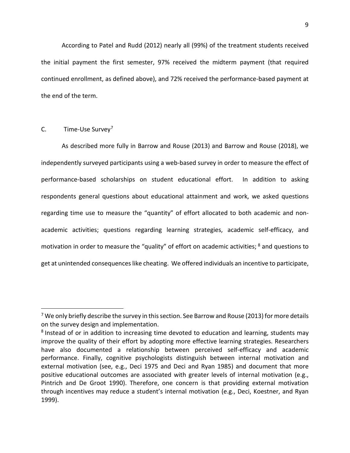According to Patel and Rudd (2012) nearly all (99%) of the treatment students received the initial payment the first semester, 97% received the midterm payment (that required continued enrollment, as defined above), and 72% received the performance-based payment at the end of the term.

## C. Time-Use Survey<sup>[7](#page-11-0)</sup>

 $\overline{a}$ 

As described more fully in Barrow and Rouse (2013) and Barrow and Rouse (2018), we independently surveyed participants using a web-based survey in order to measure the effect of performance-based scholarships on student educational effort. In addition to asking respondents general questions about educational attainment and work, we asked questions regarding time use to measure the "quantity" of effort allocated to both academic and nonacademic activities; questions regarding learning strategies, academic self-efficacy, and motivation in order to measure the "quality" of effort on academic activities; [8](#page-11-1) and questions to get at unintended consequences like cheating. We offered individuals an incentive to participate,

<span id="page-11-0"></span> $7$  We only briefly describe the survey in this section. See Barrow and Rouse (2013) for more details on the survey design and implementation.

<span id="page-11-1"></span><sup>&</sup>lt;sup>8</sup> Instead of or in addition to increasing time devoted to education and learning, students may improve the quality of their effort by adopting more effective learning strategies. Researchers have also documented a relationship between perceived self-efficacy and academic performance. Finally, cognitive psychologists distinguish between internal motivation and external motivation (see, e.g., Deci 1975 and Deci and Ryan 1985) and document that more positive educational outcomes are associated with greater levels of internal motivation (e.g., Pintrich and De Groot 1990). Therefore, one concern is that providing external motivation through incentives may reduce a student's internal motivation (e.g., Deci, Koestner, and Ryan 1999).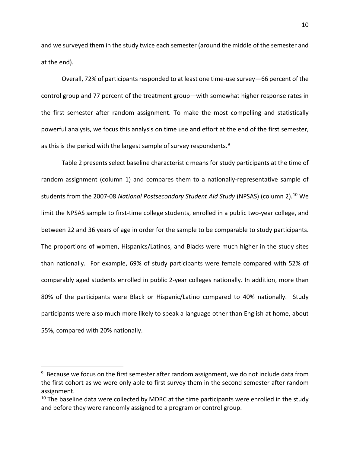and we surveyed them in the study twice each semester (around the middle of the semester and at the end).

Overall, 72% of participants responded to at least one time-use survey—66 percent of the control group and 77 percent of the treatment group—with somewhat higher response rates in the first semester after random assignment. To make the most compelling and statistically powerful analysis, we focus this analysis on time use and effort at the end of the first semester, as this is the period with the largest sample of survey respondents.<sup>[9](#page-12-0)</sup>

Table 2 presents select baseline characteristic means for study participants at the time of random assignment (column 1) and compares them to a nationally-representative sample of students from the 2007-08 *National Postsecondary Student Aid Study* (NPSAS) (column 2). [10](#page-12-1) We limit the NPSAS sample to first-time college students, enrolled in a public two-year college, and between 22 and 36 years of age in order for the sample to be comparable to study participants. The proportions of women, Hispanics/Latinos, and Blacks were much higher in the study sites than nationally. For example, 69% of study participants were female compared with 52% of comparably aged students enrolled in public 2-year colleges nationally. In addition, more than 80% of the participants were Black or Hispanic/Latino compared to 40% nationally. Study participants were also much more likely to speak a language other than English at home, about 55%, compared with 20% nationally.

<span id="page-12-0"></span> $9$  Because we focus on the first semester after random assignment, we do not include data from the first cohort as we were only able to first survey them in the second semester after random assignment.

<span id="page-12-1"></span> $10$  The baseline data were collected by MDRC at the time participants were enrolled in the study and before they were randomly assigned to a program or control group.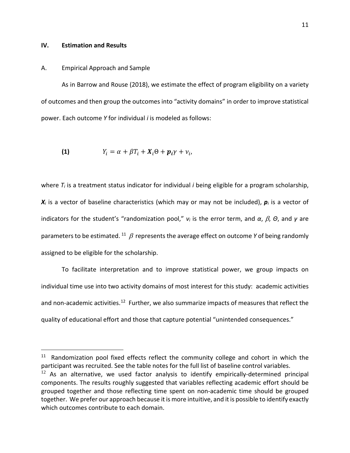#### **IV. Estimation and Results**

 $\overline{a}$ 

#### A. Empirical Approach and Sample

As in Barrow and Rouse (2018), we estimate the effect of program eligibility on a variety of outcomes and then group the outcomes into "activity domains" in order to improve statistical power. Each outcome *Y* for individual *i* is modeled as follows:

(1) 
$$
Y_i = \alpha + \beta T_i + X_i \Theta + p_i \gamma + \nu_i,
$$

where  $T_i$  is a treatment status indicator for individual *i* being eligible for a program scholarship,  $X_i$  is a vector of baseline characteristics (which may or may not be included),  $p_i$  is a vector of indicators for the student's "randomization pool," *ν<sup>i</sup>* is the error term, and *α*, β, *Θ*, and *γ* are parameters to be estimated.<sup>[11](#page-13-0)</sup>  $\beta$  represents the average effect on outcome *Y* of being randomly assigned to be eligible for the scholarship.

To facilitate interpretation and to improve statistical power, we group impacts on individual time use into two activity domains of most interest for this study: academic activities and non-academic activities.<sup>12</sup> Further, we also summarize impacts of measures that reflect the quality of educational effort and those that capture potential "unintended consequences."

<span id="page-13-0"></span> $11$  Randomization pool fixed effects reflect the community college and cohort in which the participant was recruited. See the table notes for the full list of baseline control variables.

<span id="page-13-1"></span> $12$  As an alternative, we used factor analysis to identify empirically-determined principal components. The results roughly suggested that variables reflecting academic effort should be grouped together and those reflecting time spent on non-academic time should be grouped together. We prefer our approach because it is more intuitive, and it is possible to identify exactly which outcomes contribute to each domain.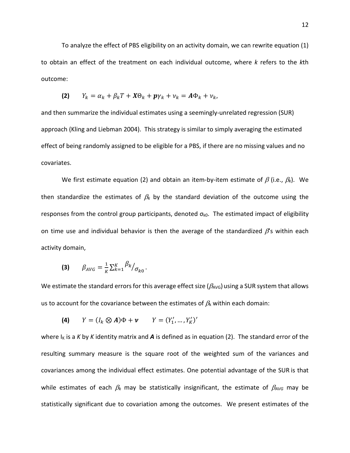To analyze the effect of PBS eligibility on an activity domain, we can rewrite equation (1) to obtain an effect of the treatment on each individual outcome, where *k* refers to the *k*th outcome:

$$
(2) \qquad Y_k = \alpha_k + \beta_k T + X\Theta_k + p\gamma_k + \nu_k = A\Phi_k + \nu_k,
$$

and then summarize the individual estimates using a seemingly-unrelated regression (SUR) approach (Kling and Liebman 2004). This strategy is similar to simply averaging the estimated effect of being randomly assigned to be eligible for a PBS, if there are no missing values and no covariates.

We first estimate equation (2) and obtain an item-by-item estimate of  $\beta$  (i.e.,  $\beta_k$ ). We then standardize the estimates of  $\beta_k$  by the standard deviation of the outcome using the responses from the control group participants, denoted  $\sigma_{k0}$ . The estimated impact of eligibility on time use and individual behavior is then the average of the standardized  $\beta$ 's within each activity domain,

(3) 
$$
\beta_{AVG} = \frac{1}{K} \sum_{k=1}^{K} \frac{\beta_k}{\sigma_{k0}}
$$
.

We estimate the standard errors for this average effect size ( $\beta_{AVG}$ ) using a SUR system that allows us to account for the covariance between the estimates of  $\beta_k$  within each domain:

(4) 
$$
Y = (I_k \otimes A)\Phi + \nu
$$
  $Y = (Y'_1, ..., Y'_K)'$ 

where  $I_K$  is a  $K$  by  $K$  identity matrix and  $A$  is defined as in equation (2). The standard error of the resulting summary measure is the square root of the weighted sum of the variances and covariances among the individual effect estimates. One potential advantage of the SUR is that while estimates of each β*<sup>k</sup>* may be statistically insignificant, the estimate of β*AVG* may be statistically significant due to covariation among the outcomes. We present estimates of the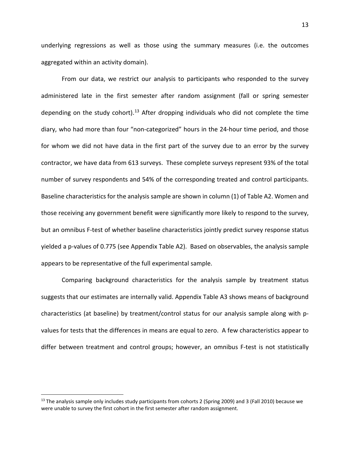underlying regressions as well as those using the summary measures (i.e. the outcomes aggregated within an activity domain).

From our data, we restrict our analysis to participants who responded to the survey administered late in the first semester after random assignment (fall or spring semester depending on the study cohort).<sup>[13](#page-15-0)</sup> After dropping individuals who did not complete the time diary, who had more than four "non-categorized" hours in the 24-hour time period, and those for whom we did not have data in the first part of the survey due to an error by the survey contractor, we have data from 613 surveys. These complete surveys represent 93% of the total number of survey respondents and 54% of the corresponding treated and control participants. Baseline characteristics for the analysis sample are shown in column (1) of Table A2. Women and those receiving any government benefit were significantly more likely to respond to the survey, but an omnibus F-test of whether baseline characteristics jointly predict survey response status yielded a p-values of 0.775 (see Appendix Table A2). Based on observables, the analysis sample appears to be representative of the full experimental sample.

Comparing background characteristics for the analysis sample by treatment status suggests that our estimates are internally valid. Appendix Table A3 shows means of background characteristics (at baseline) by treatment/control status for our analysis sample along with pvalues for tests that the differences in means are equal to zero. A few characteristics appear to differ between treatment and control groups; however, an omnibus F-test is not statistically

<span id="page-15-0"></span> $13$  The analysis sample only includes study participants from cohorts 2 (Spring 2009) and 3 (Fall 2010) because we were unable to survey the first cohort in the first semester after random assignment.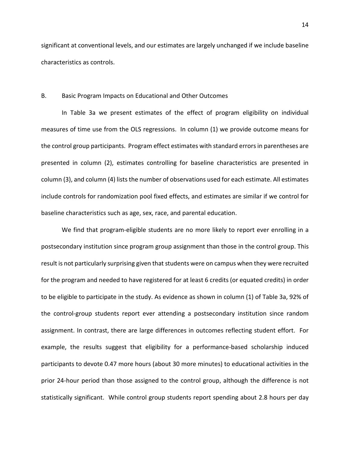significant at conventional levels, and our estimates are largely unchanged if we include baseline characteristics as controls.

#### B. Basic Program Impacts on Educational and Other Outcomes

In Table 3a we present estimates of the effect of program eligibility on individual measures of time use from the OLS regressions. In column (1) we provide outcome means for the control group participants. Program effect estimates with standard errors in parentheses are presented in column (2), estimates controlling for baseline characteristics are presented in column (3), and column (4) lists the number of observations used for each estimate. All estimates include controls for randomization pool fixed effects, and estimates are similar if we control for baseline characteristics such as age, sex, race, and parental education.

We find that program-eligible students are no more likely to report ever enrolling in a postsecondary institution since program group assignment than those in the control group. This result is not particularly surprising given that students were on campus when they were recruited for the program and needed to have registered for at least 6 credits (or equated credits) in order to be eligible to participate in the study. As evidence as shown in column (1) of Table 3a, 92% of the control-group students report ever attending a postsecondary institution since random assignment. In contrast, there are large differences in outcomes reflecting student effort. For example, the results suggest that eligibility for a performance-based scholarship induced participants to devote 0.47 more hours (about 30 more minutes) to educational activities in the prior 24-hour period than those assigned to the control group, although the difference is not statistically significant. While control group students report spending about 2.8 hours per day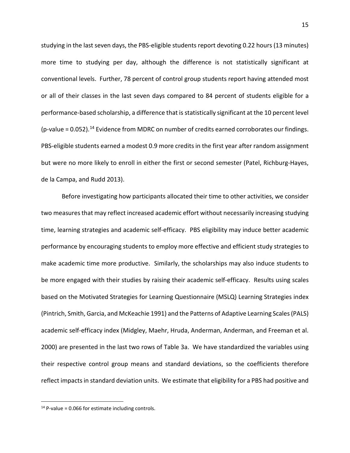studying in the last seven days, the PBS-eligible students report devoting 0.22 hours (13 minutes) more time to studying per day, although the difference is not statistically significant at conventional levels. Further, 78 percent of control group students report having attended most or all of their classes in the last seven days compared to 84 percent of students eligible for a performance-based scholarship, a difference that is statistically significant at the 10 percent level (p-value = 0.052). [14](#page-17-0) Evidence from MDRC on number of credits earned corroborates our findings. PBS-eligible students earned a modest 0.9 more credits in the first year after random assignment but were no more likely to enroll in either the first or second semester (Patel, Richburg-Hayes, de la Campa, and Rudd 2013).

Before investigating how participants allocated their time to other activities, we consider two measures that may reflect increased academic effort without necessarily increasing studying time, learning strategies and academic self-efficacy. PBS eligibility may induce better academic performance by encouraging students to employ more effective and efficient study strategies to make academic time more productive. Similarly, the scholarships may also induce students to be more engaged with their studies by raising their academic self-efficacy. Results using scales based on the Motivated Strategies for Learning Questionnaire (MSLQ) Learning Strategies index (Pintrich, Smith, Garcia, and McKeachie 1991) and the Patterns of Adaptive Learning Scales (PALS) academic self-efficacy index (Midgley, Maehr, Hruda, Anderman, Anderman, and Freeman et al. 2000) are presented in the last two rows of Table 3a. We have standardized the variables using their respective control group means and standard deviations, so the coefficients therefore reflect impacts in standard deviation units. We estimate that eligibility for a PBS had positive and

<span id="page-17-0"></span> $14$  P-value = 0.066 for estimate including controls.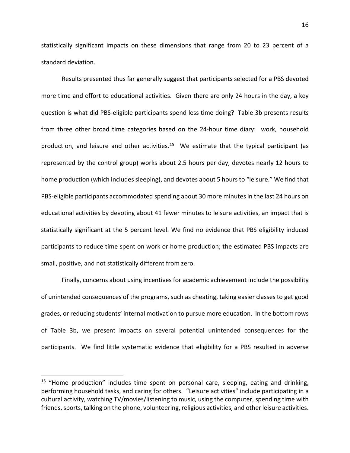statistically significant impacts on these dimensions that range from 20 to 23 percent of a standard deviation.

Results presented thus far generally suggest that participants selected for a PBS devoted more time and effort to educational activities. Given there are only 24 hours in the day, a key question is what did PBS-eligible participants spend less time doing? Table 3b presents results from three other broad time categories based on the 24-hour time diary: work, household production, and leisure and other activities.<sup>15</sup> We estimate that the typical participant (as represented by the control group) works about 2.5 hours per day, devotes nearly 12 hours to home production (which includes sleeping), and devotes about 5 hours to "leisure." We find that PBS-eligible participants accommodated spending about 30 more minutes in the last 24 hours on educational activities by devoting about 41 fewer minutes to leisure activities, an impact that is statistically significant at the 5 percent level. We find no evidence that PBS eligibility induced participants to reduce time spent on work or home production; the estimated PBS impacts are small, positive, and not statistically different from zero.

Finally, concerns about using incentives for academic achievement include the possibility of unintended consequences of the programs, such as cheating, taking easier classes to get good grades, or reducing students' internal motivation to pursue more education. In the bottom rows of Table 3b, we present impacts on several potential unintended consequences for the participants. We find little systematic evidence that eligibility for a PBS resulted in adverse

<span id="page-18-0"></span><sup>&</sup>lt;sup>15</sup> "Home production" includes time spent on personal care, sleeping, eating and drinking, performing household tasks, and caring for others. "Leisure activities" include participating in a cultural activity, watching TV/movies/listening to music, using the computer, spending time with friends, sports, talking on the phone, volunteering, religious activities, and other leisure activities.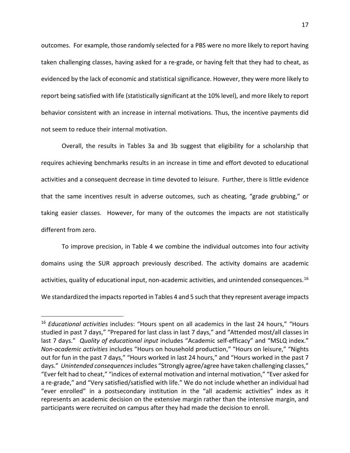outcomes. For example, those randomly selected for a PBS were no more likely to report having taken challenging classes, having asked for a re-grade, or having felt that they had to cheat, as evidenced by the lack of economic and statistical significance. However, they were more likely to report being satisfied with life (statistically significant at the 10% level), and more likely to report behavior consistent with an increase in internal motivations. Thus, the incentive payments did not seem to reduce their internal motivation.

Overall, the results in Tables 3a and 3b suggest that eligibility for a scholarship that requires achieving benchmarks results in an increase in time and effort devoted to educational activities and a consequent decrease in time devoted to leisure. Further, there is little evidence that the same incentives result in adverse outcomes, such as cheating, "grade grubbing," or taking easier classes. However, for many of the outcomes the impacts are not statistically different from zero.

To improve precision, in Table 4 we combine the individual outcomes into four activity domains using the SUR approach previously described. The activity domains are academic activities, quality of educational input, non-academic activities, and unintended consequences.<sup>[16](#page-19-0)</sup> We standardized the impacts reported in Tables 4 and 5 such that they represent average impacts

<span id="page-19-0"></span><sup>16</sup> *Educational activities* includes: "Hours spent on all academics in the last 24 hours," "Hours studied in past 7 days," "Prepared for last class in last 7 days," and "Attended most/all classes in last 7 days." *Quality of educational input* includes "Academic self-efficacy" and "MSLQ index." *Non-academic activities* includes "Hours on household production," "Hours on leisure," "Nights out for fun in the past 7 days," "Hours worked in last 24 hours," and "Hours worked in the past 7 days." *Unintended consequences*includes "Strongly agree/agree have taken challenging classes," "Ever felt had to cheat," "indices of external motivation and internal motivation," "Ever asked for a re-grade," and "Very satisfied/satisfied with life." We do not include whether an individual had "ever enrolled" in a postsecondary institution in the "all academic activities" index as it represents an academic decision on the extensive margin rather than the intensive margin, and participants were recruited on campus after they had made the decision to enroll.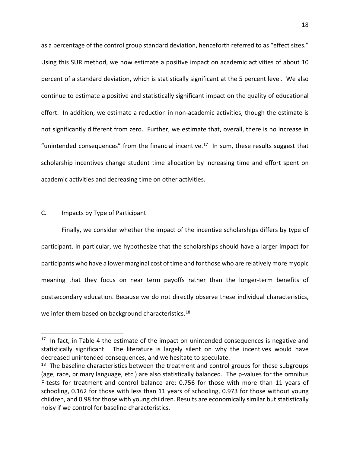as a percentage of the control group standard deviation, henceforth referred to as "effect sizes." Using this SUR method, we now estimate a positive impact on academic activities of about 10 percent of a standard deviation, which is statistically significant at the 5 percent level. We also continue to estimate a positive and statistically significant impact on the quality of educational effort. In addition, we estimate a reduction in non-academic activities, though the estimate is not significantly different from zero. Further, we estimate that, overall, there is no increase in "unintended consequences" from the financial incentive.<sup>17</sup> In sum, these results suggest that scholarship incentives change student time allocation by increasing time and effort spent on academic activities and decreasing time on other activities.

#### C. Impacts by Type of Participant

 $\overline{a}$ 

Finally, we consider whether the impact of the incentive scholarships differs by type of participant. In particular, we hypothesize that the scholarships should have a larger impact for participants who have a lower marginal cost of time and for those who are relatively more myopic meaning that they focus on near term payoffs rather than the longer-term benefits of postsecondary education. Because we do not directly observe these individual characteristics, we infer them based on background characteristics.<sup>[18](#page-20-1)</sup>

<span id="page-20-0"></span> $17$  In fact, in Table 4 the estimate of the impact on unintended consequences is negative and statistically significant. The literature is largely silent on why the incentives would have decreased unintended consequences, and we hesitate to speculate.

<span id="page-20-1"></span> $18$  The baseline characteristics between the treatment and control groups for these subgroups (age, race, primary language, etc.) are also statistically balanced. The p-values for the omnibus F-tests for treatment and control balance are: 0.756 for those with more than 11 years of schooling, 0.162 for those with less than 11 years of schooling, 0.973 for those without young children, and 0.98 for those with young children. Results are economically similar but statistically noisy if we control for baseline characteristics.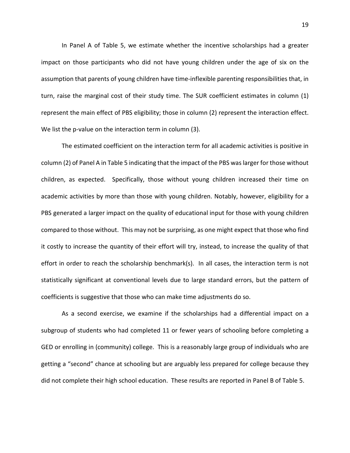In Panel A of Table 5, we estimate whether the incentive scholarships had a greater impact on those participants who did not have young children under the age of six on the assumption that parents of young children have time-inflexible parenting responsibilities that, in turn, raise the marginal cost of their study time. The SUR coefficient estimates in column (1) represent the main effect of PBS eligibility; those in column (2) represent the interaction effect. We list the p-value on the interaction term in column (3).

The estimated coefficient on the interaction term for all academic activities is positive in column (2) of Panel A in Table 5 indicating that the impact of the PBS was larger for those without children, as expected. Specifically, those without young children increased their time on academic activities by more than those with young children. Notably, however, eligibility for a PBS generated a larger impact on the quality of educational input for those with young children compared to those without. This may not be surprising, as one might expect that those who find it costly to increase the quantity of their effort will try, instead, to increase the quality of that effort in order to reach the scholarship benchmark(s). In all cases, the interaction term is not statistically significant at conventional levels due to large standard errors, but the pattern of coefficients is suggestive that those who can make time adjustments do so.

As a second exercise, we examine if the scholarships had a differential impact on a subgroup of students who had completed 11 or fewer years of schooling before completing a GED or enrolling in (community) college. This is a reasonably large group of individuals who are getting a "second" chance at schooling but are arguably less prepared for college because they did not complete their high school education. These results are reported in Panel B of Table 5.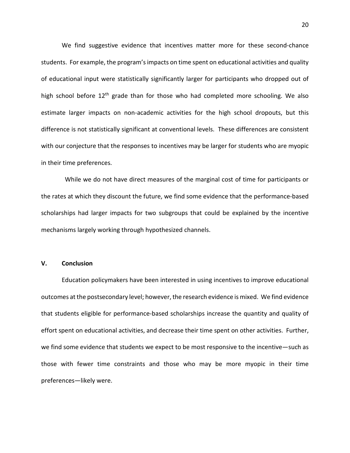We find suggestive evidence that incentives matter more for these second-chance students. For example, the program'simpacts on time spent on educational activities and quality of educational input were statistically significantly larger for participants who dropped out of high school before  $12<sup>th</sup>$  grade than for those who had completed more schooling. We also estimate larger impacts on non-academic activities for the high school dropouts, but this difference is not statistically significant at conventional levels. These differences are consistent with our conjecture that the responses to incentives may be larger for students who are myopic in their time preferences.

 While we do not have direct measures of the marginal cost of time for participants or the rates at which they discount the future, we find some evidence that the performance-based scholarships had larger impacts for two subgroups that could be explained by the incentive mechanisms largely working through hypothesized channels.

### **V. Conclusion**

Education policymakers have been interested in using incentives to improve educational outcomes at the postsecondary level; however, the research evidence is mixed. We find evidence that students eligible for performance-based scholarships increase the quantity and quality of effort spent on educational activities, and decrease their time spent on other activities. Further, we find some evidence that students we expect to be most responsive to the incentive—such as those with fewer time constraints and those who may be more myopic in their time preferences—likely were.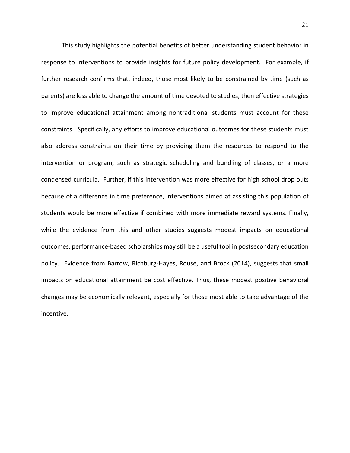This study highlights the potential benefits of better understanding student behavior in response to interventions to provide insights for future policy development. For example, if further research confirms that, indeed, those most likely to be constrained by time (such as parents) are less able to change the amount of time devoted to studies, then effective strategies to improve educational attainment among nontraditional students must account for these constraints. Specifically, any efforts to improve educational outcomes for these students must also address constraints on their time by providing them the resources to respond to the intervention or program, such as strategic scheduling and bundling of classes, or a more condensed curricula. Further, if this intervention was more effective for high school drop outs because of a difference in time preference, interventions aimed at assisting this population of students would be more effective if combined with more immediate reward systems. Finally, while the evidence from this and other studies suggests modest impacts on educational outcomes, performance-based scholarships may still be a useful tool in postsecondary education policy. Evidence from Barrow, Richburg-Hayes, Rouse, and Brock (2014), suggests that small impacts on educational attainment be cost effective. Thus, these modest positive behavioral changes may be economically relevant, especially for those most able to take advantage of the incentive.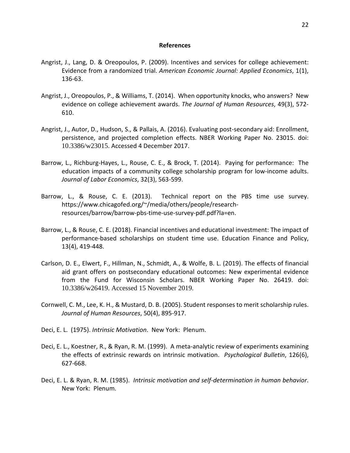#### **References**

- Angrist, J., Lang, D. & Oreopoulos, P. (2009). Incentives and services for college achievement: Evidence from a randomized trial. *American Economic Journal: Applied Economics*, 1(1), 136-63.
- Angrist, J., Oreopoulos, P., & Williams, T. (2014). When opportunity knocks, who answers? New evidence on college achievement awards. *The Journal of Human Resources*, 49(3), 572- 610.
- Angrist, J., Autor, D., Hudson, S., & Pallais, A. (2016). Evaluating post-secondary aid: Enrollment, persistence, and projected completion effects. NBER Working Paper No. 23015. doi: 10.3386/w23015. Accessed 4 December 2017.
- Barrow, L., Richburg-Hayes, L., Rouse, C. E., & Brock, T. (2014). Paying for performance: The education impacts of a community college scholarship program for low-income adults. *Journal of Labor Economics*, 32(3), 563-599.
- Barrow, L., & Rouse, C. E. (2013). Technical report on the PBS time use survey. https://www.chicagofed.org/~/media/others/people/researchresources/barrow/barrow-pbs-time-use-survey-pdf.pdf?la=en.
- Barrow, L., & Rouse, C. E. (2018). Financial incentives and educational investment: The impact of performance-based scholarships on student time use. Education Finance and Policy, 13(4), 419-448.
- Carlson, D. E., Elwert, F., Hillman, N., Schmidt, A., & Wolfe, B. L. (2019). The effects of financial aid grant offers on postsecondary educational outcomes: New experimental evidence from the Fund for Wisconsin Scholars. NBER Working Paper No. 26419. doi: 10.3386/w26419. Accessed 15 November 2019.
- Cornwell, C. M., Lee, K. H., & Mustard, D. B. (2005). Student responses to merit scholarship rules. *Journal of Human Resources*, 50(4), 895-917.
- Deci, E. L. (1975). *Intrinsic Motivation*. New York: Plenum.
- Deci, E. L., Koestner, R., & Ryan, R. M. (1999). A meta-analytic review of experiments examining the effects of extrinsic rewards on intrinsic motivation. *Psychological Bulletin*, 126(6), 627-668.
- Deci, E. L. & Ryan, R. M. (1985). *Intrinsic motivation and self-determination in human behavior*. New York: Plenum.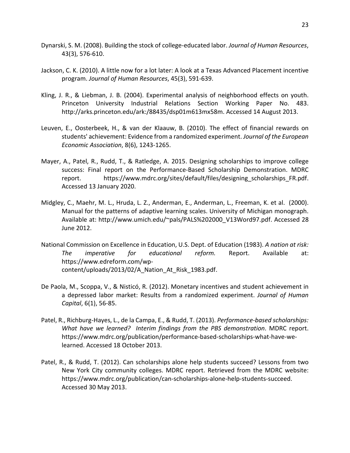- Dynarski, S. M. (2008). Building the stock of college-educated labor. *Journal of Human Resources*, 43(3), 576-610.
- Jackson, C. K. (2010). A little now for a lot later: A look at a Texas Advanced Placement incentive program. *Journal of Human Resources*, 45(3), 591-639.
- Kling, J. R., & Liebman, J. B. (2004). Experimental analysis of neighborhood effects on youth. Princeton University Industrial Relations Section Working Paper No. 483. http://arks.princeton.edu/ark:/88435/dsp01m613mx58m. Accessed 14 August 2013.
- Leuven, E., Oosterbeek, H., & van der Klaauw, B. (2010). The effect of financial rewards on students' achievement: Evidence from a randomized experiment. *Journal of the European Economic Association*, 8(6), 1243-1265.
- Mayer, A., Patel, R., Rudd, T., & Ratledge, A. 2015. Designing scholarships to improve college success: Final report on the Performance-Based Scholarship Demonstration. MDRC report. https://www.mdrc.org/sites/default/files/designing scholarships FR.pdf. Accessed 13 January 2020.
- Midgley, C., Maehr, M. L., Hruda, L. Z., Anderman, E., Anderman, L., Freeman, K. et al. (2000). Manual for the patterns of adaptive learning scales. University of Michigan monograph. Available at: http://www.umich.edu/~pals/PALS%202000\_V13Word97.pdf. Accessed 28 June 2012.
- National Commission on Excellence in Education, U.S. Dept. of Education (1983). *A nation at risk: The imperative for educational reform.* Report. Available at: https://www.edreform.com/wpcontent/uploads/2013/02/A\_Nation\_At\_Risk\_1983.pdf.
- De Paola, M., Scoppa, V., & Nisticó, R. (2012). Monetary incentives and student achievement in a depressed labor market: Results from a randomized experiment. *Journal of Human Capital*, 6(1), 56-85.
- Patel, R., Richburg-Hayes, L., de la Campa, E., & Rudd, T. (2013). *Performance-based scholarships: What have we learned? Interim findings from the PBS demonstration*. MDRC report. https://www.mdrc.org/publication/performance-based-scholarships-what-have-welearned. Accessed 18 October 2013.
- Patel, R., & Rudd, T. (2012). Can scholarships alone help students succeed? Lessons from two New York City community colleges. MDRC report. Retrieved from the MDRC website: https://www.mdrc.org/publication/can-scholarships-alone-help-students-succeed. Accessed 30 May 2013.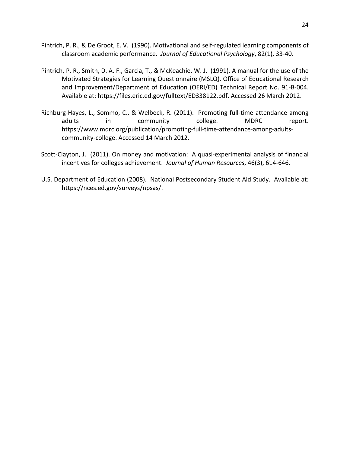- Pintrich, P. R., & De Groot, E. V. (1990). Motivational and self-regulated learning components of classroom academic performance. *Journal of Educational Psychology*, 82(1), 33-40.
- Pintrich, P. R., Smith, D. A. F., Garcia, T., & McKeachie, W. J. (1991). A manual for the use of the Motivated Strategies for Learning Questionnaire (MSLQ). Office of Educational Research and Improvement/Department of Education (OERI/ED) Technical Report No. 91-B-004. Available at: https://files.eric.ed.gov/fulltext/ED338122.pdf. Accessed 26 March 2012.
- Richburg-Hayes, L., Sommo, C., & Welbeck, R. (2011). Promoting full-time attendance among adults in community college. MDRC report. https://www.mdrc.org/publication/promoting-full-time-attendance-among-adultscommunity-college. Accessed 14 March 2012.
- Scott-Clayton, J. (2011). On money and motivation: A quasi-experimental analysis of financial incentives for colleges achievement. *Journal of Human Resources*, 46(3), 614-646.
- U.S. Department of Education (2008). National Postsecondary Student Aid Study. Available at: https://nces.ed.gov/surveys/npsas/.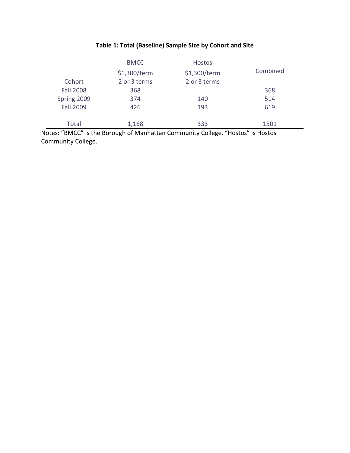|                  | <b>BMCC</b>  | <b>Hostos</b> |          |
|------------------|--------------|---------------|----------|
|                  | \$1,300/term | \$1,300/term  | Combined |
| Cohort           | 2 or 3 terms | 2 or 3 terms  |          |
| <b>Fall 2008</b> | 368          |               | 368      |
| Spring 2009      | 374          | 140           | 514      |
| <b>Fall 2009</b> | 426          | 193           | 619      |
|                  |              |               |          |
| Total            | 1,168        | 333           | 1501     |
|                  |              |               |          |

# **Table 1: Total (Baseline) Sample Size by Cohort and Site**

Notes: "BMCC" is the Borough of Manhattan Community College. "Hostos" is Hostos Community College.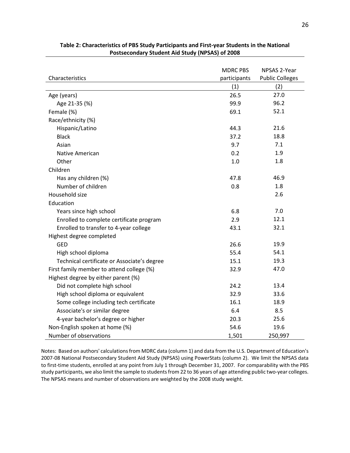|                                             | <b>MDRC PBS</b> | NPSAS 2-Year           |
|---------------------------------------------|-----------------|------------------------|
| Characteristics                             | participants    | <b>Public Colleges</b> |
|                                             | (1)             | (2)                    |
| Age (years)                                 | 26.5            | 27.0                   |
| Age 21-35 (%)                               | 99.9            | 96.2                   |
| Female (%)                                  | 69.1            | 52.1                   |
| Race/ethnicity (%)                          |                 |                        |
| Hispanic/Latino                             | 44.3            | 21.6                   |
| <b>Black</b>                                | 37.2            | 18.8                   |
| Asian                                       | 9.7             | 7.1                    |
| Native American                             | 0.2             | 1.9                    |
| Other                                       | 1.0             | 1.8                    |
| Children                                    |                 |                        |
| Has any children (%)                        | 47.8            | 46.9                   |
| Number of children                          | 0.8             | 1.8                    |
| Household size                              |                 | 2.6                    |
| Education                                   |                 |                        |
| Years since high school                     | 6.8             | 7.0                    |
| Enrolled to complete certificate program    | 2.9             | 12.1                   |
| Enrolled to transfer to 4-year college      | 43.1            | 32.1                   |
| Highest degree completed                    |                 |                        |
| <b>GED</b>                                  | 26.6            | 19.9                   |
| High school diploma                         | 55.4            | 54.1                   |
| Technical certificate or Associate's degree | 15.1            | 19.3                   |
| First family member to attend college (%)   | 32.9            | 47.0                   |
| Highest degree by either parent (%)         |                 |                        |
| Did not complete high school                | 24.2            | 13.4                   |
| High school diploma or equivalent           | 32.9            | 33.6                   |
| Some college including tech certificate     | 16.1            | 18.9                   |
| Associate's or similar degree               | 6.4             | 8.5                    |
| 4-year bachelor's degree or higher          | 20.3            | 25.6                   |
| Non-English spoken at home (%)              | 54.6            | 19.6                   |
| Number of observations                      | 1,501           | 250,997                |

### **Table 2: Characteristics of PBS Study Participants and First-year Students in the National Postsecondary Student Aid Study (NPSAS) of 2008**

Notes: Based on authors' calculations from MDRC data (column 1) and data from the U.S. Department of Education's 2007-08 National Postsecondary Student Aid Study (NPSAS) using PowerStats (column 2). We limit the NPSAS data to first-time students, enrolled at any point from July 1 through December 31, 2007. For comparability with the PBS study participants, we also limit the sample to students from 22 to 36 years of age attending public two-year colleges. The NPSAS means and number of observations are weighted by the 2008 study weight.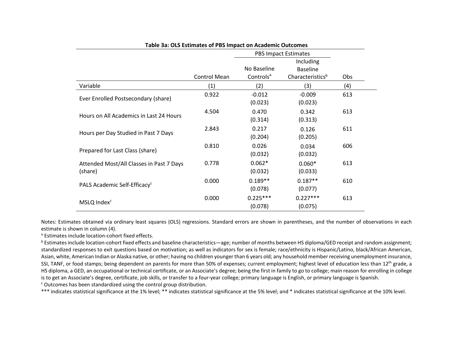| Table 3a: OLS Estimates of PBS Impact on Academic Outcomes |                             |                                      |                                                  |     |  |
|------------------------------------------------------------|-----------------------------|--------------------------------------|--------------------------------------------------|-----|--|
|                                                            | <b>PBS Impact Estimates</b> |                                      |                                                  |     |  |
|                                                            | Control Mean                | No Baseline<br>Controls <sup>a</sup> | Including<br><b>Baseline</b><br>Characteristicsb | Obs |  |
| Variable                                                   | (1)                         | (2)                                  | (3)                                              | (4) |  |
| Ever Enrolled Postsecondary (share)                        | 0.922                       | $-0.012$<br>(0.023)                  | $-0.009$<br>(0.023)                              | 613 |  |
| Hours on All Academics in Last 24 Hours                    | 4.504                       | 0.470<br>(0.314)                     | 0.342<br>(0.313)                                 | 613 |  |
| Hours per Day Studied in Past 7 Days                       | 2.843                       | 0.217<br>(0.204)                     | 0.126<br>(0.205)                                 | 611 |  |
| Prepared for Last Class (share)                            | 0.810                       | 0.026<br>(0.032)                     | 0.034<br>(0.032)                                 | 606 |  |
| Attended Most/All Classes in Past 7 Days<br>(share)        | 0.778                       | $0.062*$<br>(0.032)                  | $0.060*$<br>(0.033)                              | 613 |  |
| PALS Academic Self-Efficacy <sup>c</sup>                   | 0.000                       | $0.189**$<br>(0.078)                 | $0.187**$<br>(0.077)                             | 610 |  |
| MSLQ Index <sup>c</sup>                                    | 0.000                       | $0.225***$<br>(0.078)                | $0.227***$<br>(0.075)                            | 613 |  |

Notes: Estimates obtained via ordinary least squares (OLS) regressions. Standard errors are shown in parentheses, and the number of observations in each estimate is shown in column (4).<br><sup>a</sup> Estimates include location-cohort fixed effects.

**b Estimates include location-cohort fixed effects and baseline characteristics—age; number of months between HS diploma/GED receipt and random assignment;** standardized responses to exit questions based on motivation; as well as indicators for sex is female; race/ethnicity is Hispanic/Latino, black/African American, Asian, white, American Indian or Alaska native, or other; having no children younger than 6 years old; any household member receiving unemployment insurance, SSI, TANF, or food stamps; being dependent on parents for more than 50% of expenses; current employment; highest level of education less than 12<sup>th</sup> grade, a HS diploma, a GED, an occupational or technical certificate, or an Associate's degree; being the first in family to go to college; main reason for enrolling in college is to get an Associate's degree, certificate, job skills, or transfer to a four-year college; primary language is English, or primary language is Spanish.<br><sup>c</sup> Outcomes has been standardized using the control group distribu

\*\*\* indicates statistical significance at the 1% level; \*\* indicates statistical significance at the 5% level; and \* indicates statistical significance at the 10% level.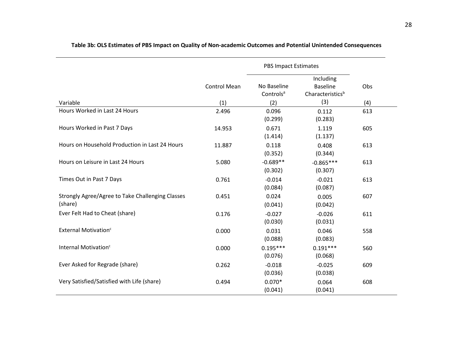|                                                             |                            | <b>PBS Impact Estimates</b>                 |                                                         |            |
|-------------------------------------------------------------|----------------------------|---------------------------------------------|---------------------------------------------------------|------------|
| Variable                                                    | <b>Control Mean</b><br>(1) | No Baseline<br>Controls <sup>a</sup><br>(2) | Including<br><b>Baseline</b><br>Characteristicsb<br>(3) | Obs<br>(4) |
| Hours Worked in Last 24 Hours                               | 2.496                      | 0.096<br>(0.299)                            | 0.112<br>(0.283)                                        | 613        |
| Hours Worked in Past 7 Days                                 | 14.953                     | 0.671<br>(1.414)                            | 1.119<br>(1.137)                                        | 605        |
| Hours on Household Production in Last 24 Hours              | 11.887                     | 0.118<br>(0.352)                            | 0.408<br>(0.344)                                        | 613        |
| Hours on Leisure in Last 24 Hours                           | 5.080                      | $-0.689**$<br>(0.302)                       | $-0.865***$<br>(0.307)                                  | 613        |
| Times Out in Past 7 Days                                    | 0.761                      | $-0.014$<br>(0.084)                         | $-0.021$<br>(0.087)                                     | 613        |
| Strongly Agree/Agree to Take Challenging Classes<br>(share) | 0.451                      | 0.024<br>(0.041)                            | 0.005<br>(0.042)                                        | 607        |
| Ever Felt Had to Cheat (share)                              | 0.176                      | $-0.027$<br>(0.030)                         | $-0.026$<br>(0.031)                                     | 611        |
| External Motivation <sup>c</sup>                            | 0.000                      | 0.031<br>(0.088)                            | 0.046<br>(0.083)                                        | 558        |
| Internal Motivation <sup>c</sup>                            | 0.000                      | $0.195***$<br>(0.076)                       | $0.191***$<br>(0.068)                                   | 560        |
| Ever Asked for Regrade (share)                              | 0.262                      | $-0.018$<br>(0.036)                         | $-0.025$<br>(0.038)                                     | 609        |
| Very Satisfied/Satisfied with Life (share)                  | 0.494                      | $0.070*$<br>(0.041)                         | 0.064<br>(0.041)                                        | 608        |

# **Table 3b: OLS Estimates of PBS Impact on Quality of Non-academic Outcomes and Potential Unintended Consequences**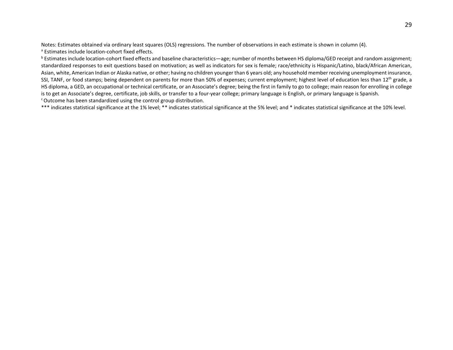Notes: Estimates obtained via ordinary least squares (OLS) regressions. The number of observations in each estimate is shown in column (4). a Estimates include location-cohort fixed effects.

 $b$  Estimates include location-cohort fixed effects and baseline characteristics—age; number of months between HS diploma/GED receipt and random assignment; standardized responses to exit questions based on motivation; as well as indicators for sex is female; race/ethnicity is Hispanic/Latino, black/African American, Asian, white, American Indian or Alaska native, or other; having no children younger than 6 years old; any household member receiving unemployment insurance, SSI, TANF, or food stamps; being dependent on parents for more than 50% of expenses; current employment; highest level of education less than 12<sup>th</sup> grade, a HS diploma, a GED, an occupational or technical certificate, or an Associate's degree; being the first in family to go to college; main reason for enrolling in college is to get an Associate's degree, certificate, job skills, or transfer to a four-year college; primary language is English, or primary language is Spanish.<br><sup>c</sup> Outcome has been standardized using the control group distribut

\*\*\* indicates statistical significance at the 1% level; \*\* indicates statistical significance at the 5% level; and \* indicates statistical significance at the 10% level.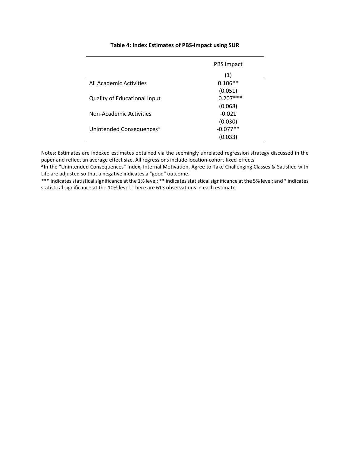|                                      | PBS Impact |
|--------------------------------------|------------|
|                                      | (1)        |
| All Academic Activities              | $0.106**$  |
|                                      | (0.051)    |
| <b>Quality of Educational Input</b>  | $0.207***$ |
|                                      | (0.068)    |
| Non-Academic Activities              | $-0.021$   |
|                                      | (0.030)    |
| Unintended Consequences <sup>a</sup> | $-0.077**$ |
|                                      | (0.033)    |

### **Table 4: Index Estimates of PBS-Impact using SUR**

Notes: Estimates are indexed estimates obtained via the seemingly unrelated regression strategy discussed in the paper and reflect an average effect size. All regressions include location-cohort fixed-effects.<br><sup>a</sup> In the "Unintended Consequences" Index, Internal Motivation, Agree to Take Challenging Classes & Satisfied with

Life are adjusted so that a negative indicates a "good" outcome.

\*\*\* indicates statistical significance at the 1% level; \*\* indicates statistical significance at the 5% level; and \* indicates statistical significance at the 10% level. There are 613 observations in each estimate.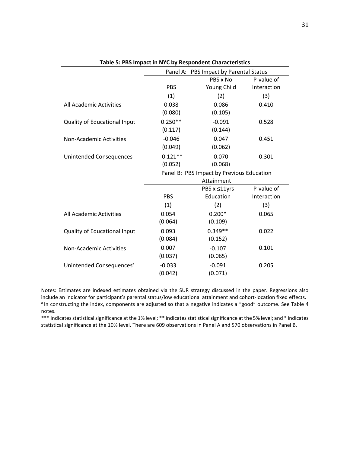|                                      |            | Panel A: PBS Impact by Parental Status    |             |
|--------------------------------------|------------|-------------------------------------------|-------------|
|                                      |            | PBS x No                                  | P-value of  |
|                                      | <b>PBS</b> | Young Child                               | Interaction |
|                                      | (1)        | (2)                                       | (3)         |
| All Academic Activities              | 0.038      | 0.086                                     | 0.410       |
|                                      | (0.080)    | (0.105)                                   |             |
| Quality of Educational Input         | $0.250**$  | $-0.091$                                  | 0.528       |
|                                      | (0.117)    | (0.144)                                   |             |
| <b>Non-Academic Activities</b>       | $-0.046$   | 0.047                                     | 0.451       |
|                                      | (0.049)    | (0.062)                                   |             |
| <b>Unintended Consequences</b>       | $-0.121**$ | 0.070                                     | 0.301       |
|                                      | (0.052)    | (0.068)                                   |             |
|                                      |            | Panel B: PBS Impact by Previous Education |             |
|                                      |            | Attainment                                |             |
|                                      |            | PBS x ≤11yrs                              | P-value of  |
|                                      | PBS        | Education                                 | Interaction |
|                                      | (1)        | (2)                                       | (3)         |
| All Academic Activities              | 0.054      | $0.200*$                                  | 0.065       |
|                                      | (0.064)    | (0.109)                                   |             |
| Quality of Educational Input         | 0.093      | $0.349**$                                 | 0.022       |
|                                      | (0.084)    | (0.152)                                   |             |
| <b>Non-Academic Activities</b>       | 0.007      | $-0.107$                                  | 0.101       |
|                                      | (0.037)    | (0.065)                                   |             |
| Unintended Consequences <sup>a</sup> | $-0.033$   | $-0.091$                                  | 0.205       |
|                                      | (0.042)    | (0.071)                                   |             |

|  | Table 5: PBS Impact in NYC by Respondent Characteristics |  |  |  |
|--|----------------------------------------------------------|--|--|--|
|--|----------------------------------------------------------|--|--|--|

Notes: Estimates are indexed estimates obtained via the SUR strategy discussed in the paper. Regressions also include an indicator for participant's parental status/low educational attainment and cohort-location fixed effects.<br><sup>a</sup> In constructing the index, components are adjusted so that a negative indicates a "good" outcome. See notes.

\*\*\* indicates statistical significance at the 1% level; \*\* indicates statistical significance at the 5% level; and \* indicates statistical significance at the 10% level. There are 609 observations in Panel A and 570 observations in Panel B.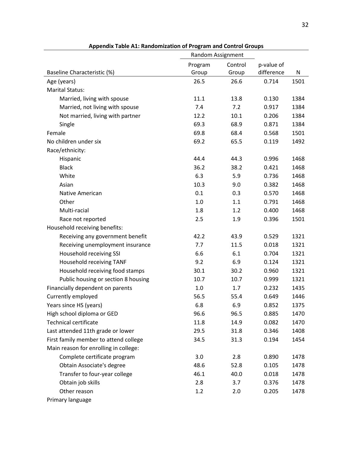|                                       | Random Assignment |         |            |      |
|---------------------------------------|-------------------|---------|------------|------|
|                                       | Program           | Control | p-value of |      |
| Baseline Characteristic (%)           | Group             | Group   | difference | N    |
| Age (years)                           | 26.5              | 26.6    | 0.714      | 1501 |
| <b>Marital Status:</b>                |                   |         |            |      |
| Married, living with spouse           | 11.1              | 13.8    | 0.130      | 1384 |
| Married, not living with spouse       | 7.4               | 7.2     | 0.917      | 1384 |
| Not married, living with partner      | 12.2              | 10.1    | 0.206      | 1384 |
| Single                                | 69.3              | 68.9    | 0.871      | 1384 |
| Female                                | 69.8              | 68.4    | 0.568      | 1501 |
| No children under six                 | 69.2              | 65.5    | 0.119      | 1492 |
| Race/ethnicity:                       |                   |         |            |      |
| Hispanic                              | 44.4              | 44.3    | 0.996      | 1468 |
| <b>Black</b>                          | 36.2              | 38.2    | 0.421      | 1468 |
| White                                 | 6.3               | 5.9     | 0.736      | 1468 |
| Asian                                 | 10.3              | 9.0     | 0.382      | 1468 |
| Native American                       | 0.1               | 0.3     | 0.570      | 1468 |
| Other                                 | 1.0               | 1.1     | 0.791      | 1468 |
| Multi-racial                          | 1.8               | 1.2     | 0.400      | 1468 |
| Race not reported                     | 2.5               | 1.9     | 0.396      | 1501 |
| Household receiving benefits:         |                   |         |            |      |
| Receiving any government benefit      | 42.2              | 43.9    | 0.529      | 1321 |
| Receiving unemployment insurance      | 7.7               | 11.5    | 0.018      | 1321 |
| Household receiving SSI               | 6.6               | 6.1     | 0.704      | 1321 |
| Household receiving TANF              | 9.2               | 6.9     | 0.124      | 1321 |
| Household receiving food stamps       | 30.1              | 30.2    | 0.960      | 1321 |
| Public housing or section 8 housing   | 10.7              | 10.7    | 0.999      | 1321 |
| Financially dependent on parents      | 1.0               | 1.7     | 0.232      | 1435 |
| Currently employed                    | 56.5              | 55.4    | 0.649      | 1446 |
| Years since HS (years)                | 6.8               | 6.9     | 0.852      | 1375 |
| High school diploma or GED            | 96.6              | 96.5    | 0.885      | 1470 |
| <b>Technical certificate</b>          | 11.8              | 14.9    | 0.082      | 1470 |
| Last attended 11th grade or lower     | 29.5              | 31.8    | 0.346      | 1408 |
| First family member to attend college | 34.5              | 31.3    | 0.194      | 1454 |
| Main reason for enrolling in college: |                   |         |            |      |
| Complete certificate program          | 3.0               | 2.8     | 0.890      | 1478 |
| Obtain Associate's degree             | 48.6              | 52.8    | 0.105      | 1478 |
| Transfer to four-year college         | 46.1              | 40.0    | 0.018      | 1478 |
| Obtain job skills                     | 2.8               | 3.7     | 0.376      | 1478 |
| Other reason                          | 1.2               | 2.0     | 0.205      | 1478 |
| Primary language                      |                   |         |            |      |

**Appendix Table A1: Randomization of Program and Control Groups**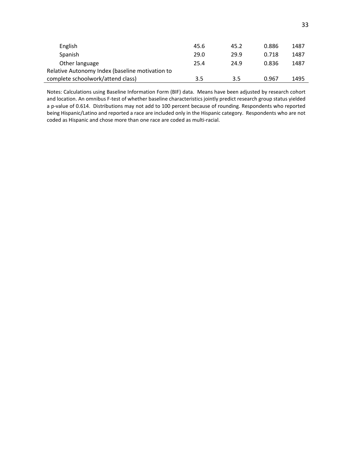| English                                         | 45.6 | 45.2 | 0.886 | 1487 |
|-------------------------------------------------|------|------|-------|------|
| Spanish                                         | 29.0 | 29.9 | 0.718 | 1487 |
| Other language                                  | 25.4 | 24.9 | 0.836 | 1487 |
| Relative Autonomy Index (baseline motivation to |      |      |       |      |
| complete schoolwork/attend class)               | 3.5  | 3.5  | 0.967 | 1495 |

Notes: Calculations using Baseline Information Form (BIF) data. Means have been adjusted by research cohort and location. An omnibus F-test of whether baseline characteristics jointly predict research group status yielded a p-value of 0.614. Distributions may not add to 100 percent because of rounding. Respondents who reported being Hispanic/Latino and reported a race are included only in the Hispanic category. Respondents who are not coded as Hispanic and chose more than one race are coded as multi-racial.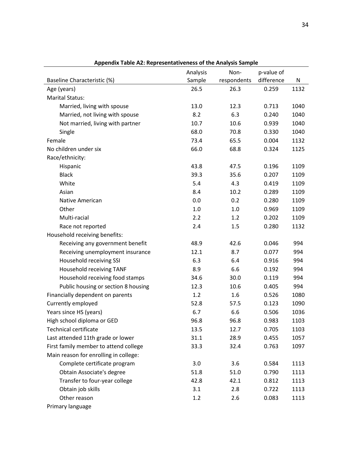|                                       | Analysis | Non-        | p-value of |      |
|---------------------------------------|----------|-------------|------------|------|
| Baseline Characteristic (%)           | Sample   | respondents | difference | N    |
| Age (years)                           | 26.5     | 26.3        | 0.259      | 1132 |
| <b>Marital Status:</b>                |          |             |            |      |
| Married, living with spouse           | 13.0     | 12.3        | 0.713      | 1040 |
| Married, not living with spouse       | 8.2      | 6.3         | 0.240      | 1040 |
| Not married, living with partner      | 10.7     | 10.6        | 0.939      | 1040 |
| Single                                | 68.0     | 70.8        | 0.330      | 1040 |
| Female                                | 73.4     | 65.5        | 0.004      | 1132 |
| No children under six                 | 66.0     | 68.8        | 0.324      | 1125 |
| Race/ethnicity:                       |          |             |            |      |
| Hispanic                              | 43.8     | 47.5        | 0.196      | 1109 |
| <b>Black</b>                          | 39.3     | 35.6        | 0.207      | 1109 |
| White                                 | 5.4      | 4.3         | 0.419      | 1109 |
| Asian                                 | 8.4      | 10.2        | 0.289      | 1109 |
| <b>Native American</b>                | 0.0      | 0.2         | 0.280      | 1109 |
| Other                                 | 1.0      | 1.0         | 0.969      | 1109 |
| Multi-racial                          | 2.2      | 1.2         | 0.202      | 1109 |
| Race not reported                     | 2.4      | 1.5         | 0.280      | 1132 |
| Household receiving benefits:         |          |             |            |      |
| Receiving any government benefit      | 48.9     | 42.6        | 0.046      | 994  |
| Receiving unemployment insurance      | 12.1     | 8.7         | 0.077      | 994  |
| Household receiving SSI               | 6.3      | 6.4         | 0.916      | 994  |
| Household receiving TANF              | 8.9      | 6.6         | 0.192      | 994  |
| Household receiving food stamps       | 34.6     | 30.0        | 0.119      | 994  |
| Public housing or section 8 housing   | 12.3     | 10.6        | 0.405      | 994  |
| Financially dependent on parents      | 1.2      | 1.6         | 0.526      | 1080 |
| Currently employed                    | 52.8     | 57.5        | 0.123      | 1090 |
| Years since HS (years)                | 6.7      | 6.6         | 0.506      | 1036 |
| High school diploma or GED            | 96.8     | 96.8        | 0.983      | 1103 |
| <b>Technical certificate</b>          | 13.5     | 12.7        | 0.705      | 1103 |
| Last attended 11th grade or lower     | 31.1     | 28.9        | 0.455      | 1057 |
| First family member to attend college | 33.3     | 32.4        | 0.763      | 1097 |
| Main reason for enrolling in college: |          |             |            |      |
| Complete certificate program          | 3.0      | 3.6         | 0.584      | 1113 |
| Obtain Associate's degree             | 51.8     | 51.0        | 0.790      | 1113 |
| Transfer to four-year college         | 42.8     | 42.1        | 0.812      | 1113 |
| Obtain job skills                     | 3.1      | 2.8         | 0.722      | 1113 |
| Other reason                          | 1.2      | 2.6         | 0.083      | 1113 |
| Primary language                      |          |             |            |      |

**Appendix Table A2: Representativeness of the Analysis Sample**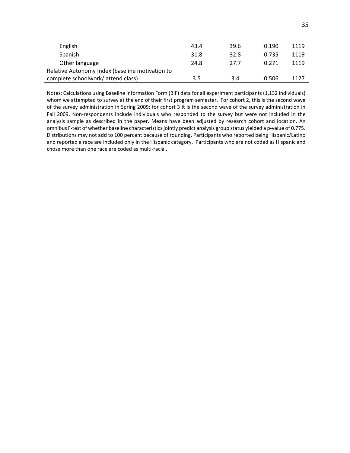| English                                         | 43.4 | 39.6 | 0.190 | 1119 |
|-------------------------------------------------|------|------|-------|------|
| Spanish                                         | 31.8 | 32.8 | 0.735 | 1119 |
| Other language                                  | 24.8 | 27.7 | 0.271 | 1119 |
| Relative Autonomy Index (baseline motivation to |      |      |       |      |
| complete schoolwork/attend class)               | 3.5  | 3.4  | 0.506 | 1127 |

Notes: Calculations using Baseline Information Form (BIF) data for all experiment participants (1,132 individuals) whom we attempted to survey at the end of their first program semester. For cohort 2, this is the second wave of the survey administration in Spring 2009; for cohort 3 it is the second wave of the survey administration in Fall 2009. Non-respondents include individuals who responded to the survey but were not included in the analysis sample as described in the paper. Means have been adjusted by research cohort and location. An omnibus F-test of whether baseline characteristics jointly predict analysis group status yielded a p-value of 0.775. Distributions may not add to 100 percent because of rounding. Participants who reported being Hispanic/Latino and reported a race are included only in the Hispanic category. Participants who are not coded as Hispanic and chose more than one race are coded as multi-racial.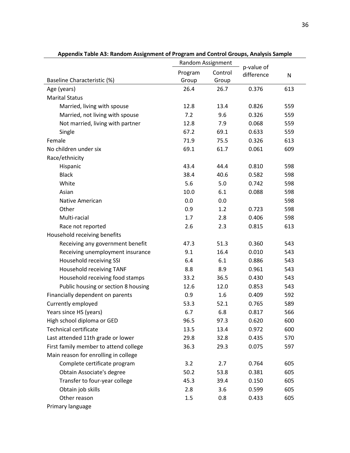| Appenuix Table AS. Nahuunii Assignment of Program anu Control Groups, Analysis Sample |         | Random Assignment |                          |              |
|---------------------------------------------------------------------------------------|---------|-------------------|--------------------------|--------------|
|                                                                                       | Program | Control           | p-value of<br>difference | $\mathsf{N}$ |
| Baseline Characteristic (%)                                                           | Group   | Group             |                          |              |
| Age (years)                                                                           | 26.4    | 26.7              | 0.376                    | 613          |
| <b>Marital Status</b>                                                                 |         |                   |                          |              |
| Married, living with spouse                                                           | 12.8    | 13.4              | 0.826                    | 559          |
| Married, not living with spouse                                                       | 7.2     | 9.6               | 0.326                    | 559          |
| Not married, living with partner                                                      | 12.8    | 7.9               | 0.068                    | 559          |
| Single                                                                                | 67.2    | 69.1              | 0.633                    | 559          |
| Female                                                                                | 71.9    | 75.5              | 0.326                    | 613          |
| No children under six                                                                 | 69.1    | 61.7              | 0.061                    | 609          |
| Race/ethnicity                                                                        |         |                   |                          |              |
| Hispanic                                                                              | 43.4    | 44.4              | 0.810                    | 598          |
| <b>Black</b>                                                                          | 38.4    | 40.6              | 0.582                    | 598          |
| White                                                                                 | 5.6     | 5.0               | 0.742                    | 598          |
| Asian                                                                                 | 10.0    | 6.1               | 0.088                    | 598          |
| Native American                                                                       | 0.0     | 0.0               |                          | 598          |
| Other                                                                                 | 0.9     | 1.2               | 0.723                    | 598          |
| Multi-racial                                                                          | 1.7     | 2.8               | 0.406                    | 598          |
| Race not reported                                                                     | 2.6     | 2.3               | 0.815                    | 613          |
| Household receiving benefits                                                          |         |                   |                          |              |
| Receiving any government benefit                                                      | 47.3    | 51.3              | 0.360                    | 543          |
| Receiving unemployment insurance                                                      | 9.1     | 16.4              | 0.010                    | 543          |
| Household receiving SSI                                                               | 6.4     | 6.1               | 0.886                    | 543          |
| Household receiving TANF                                                              | 8.8     | 8.9               | 0.961                    | 543          |
| Household receiving food stamps                                                       | 33.2    | 36.5              | 0.430                    | 543          |
| Public housing or section 8 housing                                                   | 12.6    | 12.0              | 0.853                    | 543          |
| Financially dependent on parents                                                      | 0.9     | 1.6               | 0.409                    | 592          |
| Currently employed                                                                    | 53.3    | 52.1              | 0.765                    | 589          |
| Years since HS (years)                                                                | 6.7     | 6.8               | 0.817                    | 566          |
| High school diploma or GED                                                            | 96.5    | 97.3              | 0.620                    | 600          |
| <b>Technical certificate</b>                                                          | 13.5    | 13.4              | 0.972                    | 600          |
| Last attended 11th grade or lower                                                     | 29.8    | 32.8              | 0.435                    | 570          |
| First family member to attend college                                                 | 36.3    | 29.3              | 0.075                    | 597          |
| Main reason for enrolling in college                                                  |         |                   |                          |              |
| Complete certificate program                                                          | 3.2     | 2.7               | 0.764                    | 605          |
| Obtain Associate's degree                                                             | 50.2    | 53.8              | 0.381                    | 605          |
| Transfer to four-year college                                                         | 45.3    | 39.4              | 0.150                    | 605          |
| Obtain job skills                                                                     | 2.8     | 3.6               | 0.599                    | 605          |
| Other reason                                                                          | 1.5     | 0.8               | 0.433                    | 605          |
| Primary language                                                                      |         |                   |                          |              |

**Appendix Table A3: Random Assignment of Program and Control Groups, Analysis Sample**